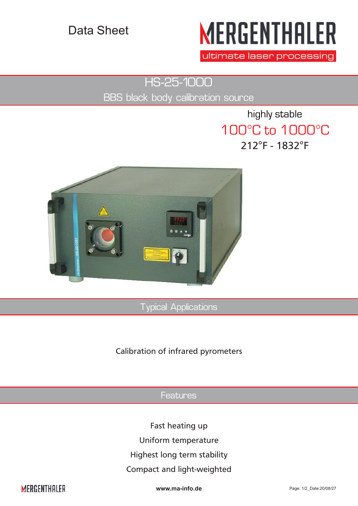## Data Sheet

# **MERGENTHALER**

ultimate laser processing

HS-25-1000

BBS black body calibration source

highly stable 100°C to 1000°C 212°F - 1832°F



Typical Applications

#### Calibration of infrared pyrometers

#### Features

Fast heating up

Uniform temperature

Highest long term stability

#### Compact and light-weighted

**MERGENTHALER** 

**www.ma-info.de** Page: 1/2\_Date:20/08/27